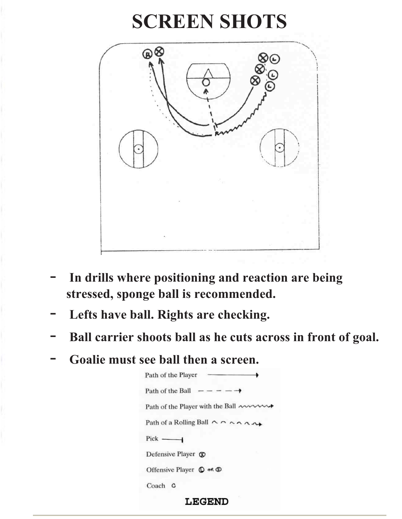#### **SCREEN SHOTS**



- **In drills where positioning and reaction are being stressed, sponge ball is recommended.**
- Lefts have ball. Rights are checking.
- Ball carrier shoots ball as he cuts across in front of goal.
- **Goalie must see ball then a screen.**



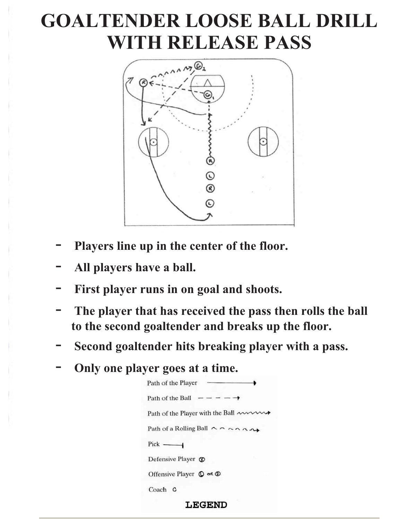### **GOALTENDER LOOSE BALL DRILL WITH RELEASE PASS**



- Players line up in the center of the floor.
- **All players have a ball.**
- First player runs in on goal and shoots.
- The player that has received the pass then rolls the ball **to the second goaltender and breaks up the floor.**
- **Second goaltender hits breaking player with a pass.**
- **Only one player goes at a time.**

| Path of the Player                                                 |  |
|--------------------------------------------------------------------|--|
| Path of the Ball $- - - - \rightarrow$                             |  |
| Path of the Player with the Ball $\sim$                            |  |
| Path of a Rolling Ball $\wedge \wedge \wedge \wedge \wedge \wedge$ |  |
| $Pick$ ——                                                          |  |
| Defensive Player $\circledR$                                       |  |
| Offensive Player $\mathbb{O}$ or $\mathbb{O}$                      |  |
| Coach C                                                            |  |
|                                                                    |  |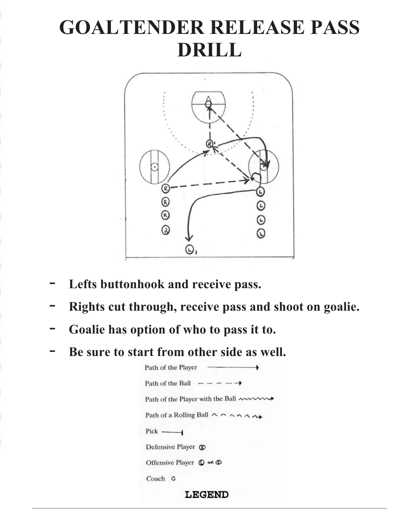## **GOALTENDER RELEASE PASS DRILL**



- Lefts buttonhook and receive pass.
- **Rights cut through, receive pass and shoot on goalie.**
- **Goalie has option of who to pass it to.**
- Be sure to start from other side as well.

| Path of the Player                                                 |
|--------------------------------------------------------------------|
| Path of the Ball $- - - - \rightarrow$                             |
| Path of the Player with the Ball ~~~~                              |
| Path of a Rolling Ball $\wedge \wedge \wedge \wedge \wedge \wedge$ |
| $Pick$ ——                                                          |
| Defensive Player ®                                                 |
| Offensive Player $\mathbb O$ or $\mathbb O$                        |
| Coach<br>٥                                                         |

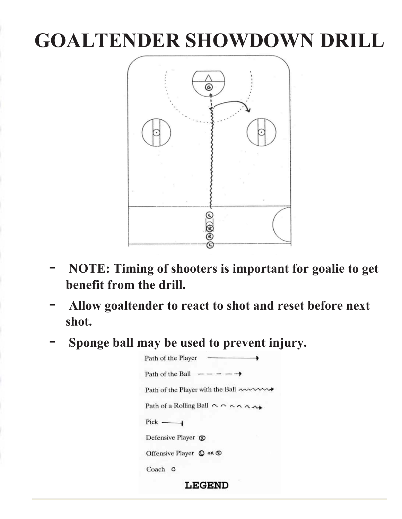# **GOALTENDER SHOWDOWN DRILL**



- **NOTE: Timing of shooters is important for goalie to get benefit from the drill.**
- **Allow goaltender to react to shot and reset before next shot.**
- **Sponge ball may be used to prevent injury.**

Path of the Player Path of the Ball  $--- \rightarrow$ Path of the Player with the Ball mum Path of a Rolling Ball  $\wedge \wedge \wedge \wedge \wedge \wedge \wedge$  $Pick$  —— Defensive Player ® Offensive Player  $\mathbb{O}$  or  $\mathbb{O}$ Coach C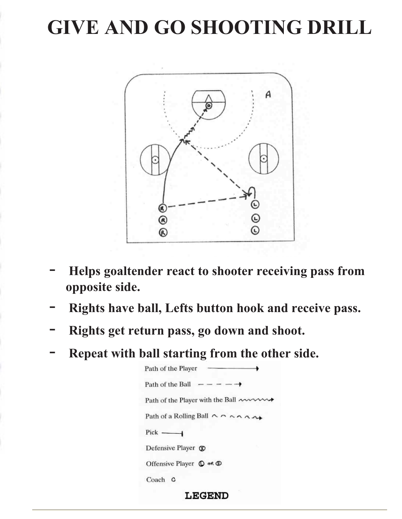# **GIVE AND GO SHOOTING DRILL**



- **Helps goaltender react to shooter receiving pass from opposite side.**
- **Rights have ball, Lefts button hook and receive pass.**
- **Rights get return pass, go down and shoot.**
- Repeat with ball starting from the other side.

Path of the Player Path of the Ball  $- - - - \rightarrow$ Path of the Player with the Ball ~~~~~~ Path of a Rolling Ball ^ ^ ^ ^ ^ ^ ^ ^  $Pick$  —— Defensive Player  $\circledR$ Offensive Player  $\mathbb{O}$  or  $\mathbb{O}$ Coach C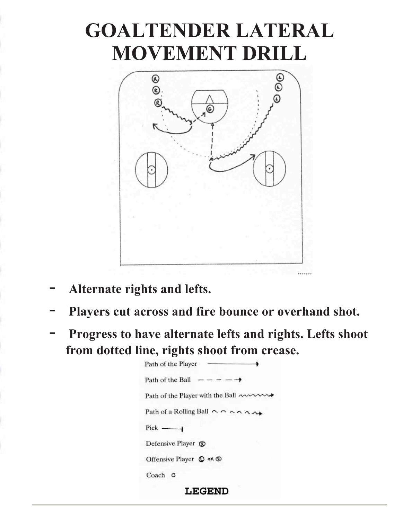## **GOALTENDER LATERAL MOVEMENT DRILL**



- **Alternate rights and lefts.**
- Players cut across and fire bounce or overhand shot.
- **Progress to have alternate lefts and rights. Lefts shoot from dotted line, rights shoot from crease.**

Path of the Player Path of the Ball  $- - - - \rightarrow$ Path of the Player with the Ball ~~~~~~ Path of a Rolling Ball  $\land \land \land \land \land \land \land \land$  $Pick$  — Defensive Player ® Offensive Player  $\mathbb O$  of  $\mathbb O$ Coach C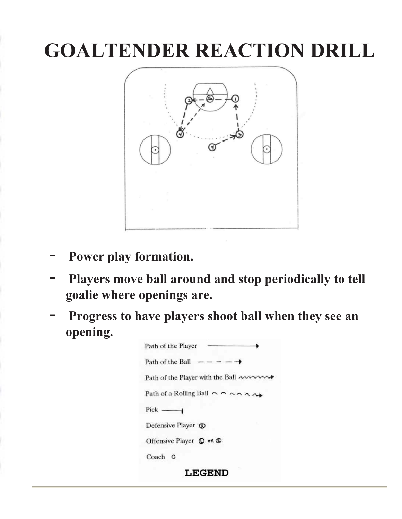# **GOALTENDER REACTION DRILL**



- Power play formation.
- **Players move ball around and stop periodically to tell goalie where openings are.**
- **Progress to have players shoot ball when they see an opening.**

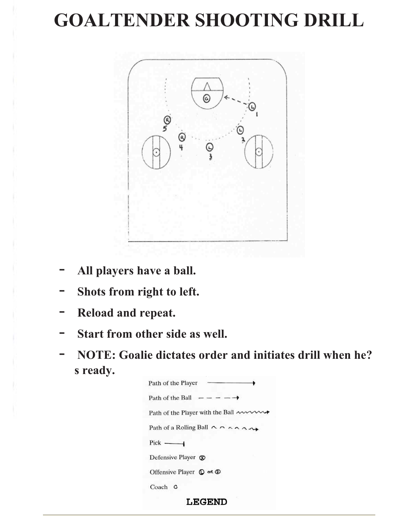#### **GOALTENDER SHOOTING DRILL**



- **All players have a ball.**
- **Shots from right to left.**
- **Reload and repeat.**
- Start from other side as well.
- **NOTE: Goalie dictates order and initiates drill when he? s ready.**